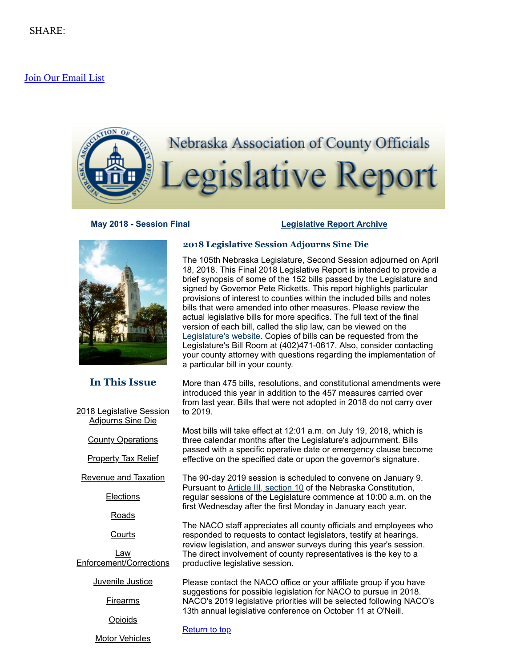# [Join Our Email List](https://visitor.constantcontact.com/d.jsp?m=1104412315568&p=oi)

<span id="page-0-1"></span>

# **May 2018 - Session Final [Legislative](http://nacone.org/webpages/legislative/legislative_newsletter.html) Report Archive**



# **In This Issue**

2018 [Legislative](#page-0-0) Session **Adjourns Sine Die** 

**County [Operations](#page-1-0)** 

**[Property](#page-1-1) Tax Relief** 

[Revenue](#page-2-0) and Taxation

**[Elections](#page-3-0)** 

[Roads](#page-3-1)

**[Courts](#page-3-2)** 

Law [Enforcement/Corrections](#page-4-0)

[Juvenile](#page-5-0) Justice

**[Firearms](#page-6-0)** 

**[Opioids](#page-6-1)** 

Motor [Vehicles](#page-7-0)

# <span id="page-0-0"></span>**2018 Legislative Session Adjourns Sine Die**

The 105th Nebraska Legislature, Second Session adjourned on April 18, 2018. This Final 2018 Legislative Report is intended to provide a brief synopsis of some of the 152 bills passed by the Legislature and signed by Governor Pete Ricketts. This report highlights particular provisions of interest to counties within the included bills and notes bills that were amended into other measures. Please review the actual legislative bills for more specifics. The full text of the final version of each bill, called the slip law, can be viewed on the [Legislature's](https://nebraskalegislature.gov/) website. Copies of bills can be requested from the Legislature's Bill Room at (402)471-0617. Also, consider contacting your county attorney with questions regarding the implementation of a particular bill in your county.

More than 475 bills, resolutions, and constitutional amendments were introduced this year in addition to the 457 measures carried over from last year. Bills that were not adopted in 2018 do not carry over to 2019.

Most bills will take effect at 12:01 a.m. on July 19, 2018, which is three calendar months after the Legislature's adjournment. Bills passed with a specific operative date or emergency clause become effective on the specified date or upon the governor's signature.

The 90-day 2019 session is scheduled to convene on January 9. Pursuant to Article III, [section](https://nebraskalegislature.gov/laws/articles.php?article=III-10) 10 of the Nebraska Constitution, regular sessions of the Legislature commence at 10:00 a.m. on the first Wednesday after the first Monday in January each year.

The NACO staff appreciates all county officials and employees who responded to requests to contact legislators, testify at hearings, review legislation, and answer surveys during this year's session. The direct involvement of county representatives is the key to a productive legislative session.

Please contact the NACO office or your affiliate group if you have suggestions for possible legislation for NACO to pursue in 2018. NACO's 2019 legislative priorities will be selected following NACO's 13th annual legislative conference on October 11 at O'Neill.

[Return](#page-0-1) to top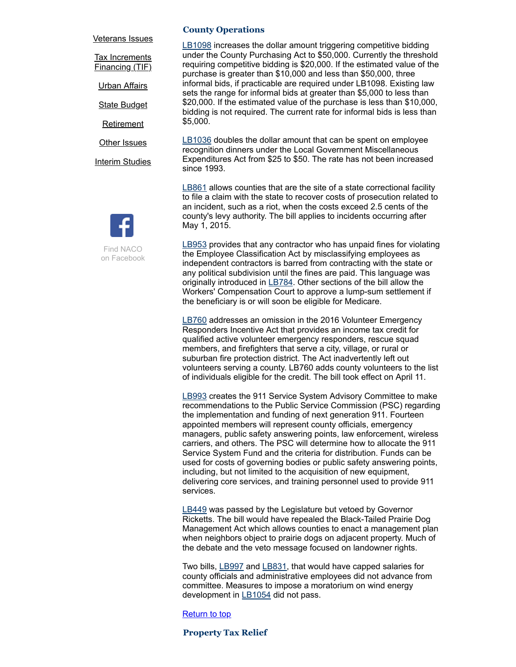#### [Veterans](#page-8-0) Issues

**Tax [Increments](#page-8-1)** Financing (TIF)

Urban [Affairs](#page-8-2)

**State [Budget](#page-9-0)** 

[Retirement](#page-9-1)

**Other [Issues](#page-9-2)** 

**Interim [Studies](#page-10-0)** 



on Facebook

#### <span id="page-1-0"></span>**County Operations**

[LB1098](https://nebraskalegislature.gov/bills/view_bill.php?DocumentID=34717) increases the dollar amount triggering competitive bidding under the County Purchasing Act to \$50,000. Currently the threshold requiring competitive bidding is \$20,000. If the estimated value of the purchase is greater than \$10,000 and less than \$50,000, three informal bids, if practicable are required under LB1098. Existing law sets the range for informal bids at greater than \$5,000 to less than \$20,000. If the estimated value of the purchase is less than \$10,000, bidding is not required. The current rate for informal bids is less than \$5,000.

[LB1036](https://nebraskalegislature.gov/bills/view_bill.php?DocumentID=34703) doubles the dollar amount that can be spent on employee recognition dinners under the Local Government Miscellaneous Expenditures Act from \$25 to \$50. The rate has not been increased since 1993.

[LB861](https://nebraskalegislature.gov/bills/view_bill.php?DocumentID=34272) allows counties that are the site of a state correctional facility to file a claim with the state to recover costs of prosecution related to an incident, such as a riot, when the costs exceed 2.5 cents of the county's levy authority. The bill applies to incidents occurring after May 1, 2015.

[LB953](https://nebraskalegislature.gov/bills/view_bill.php?DocumentID=34233) provides that any contractor who has unpaid fines for violating the Employee Classification Act by misclassifying employees as independent contractors is barred from contracting with the state or any political subdivision until the fines are paid. This language was originally introduced in [LB784.](https://nebraskalegislature.gov/bills/view_bill.php?DocumentID=34258) Other sections of the bill allow the Workers' Compensation Court to approve a lump-sum settlement if the beneficiary is or will soon be eligible for Medicare.

[LB760](https://nebraskalegislature.gov/bills/view_bill.php?DocumentID=33897) addresses an omission in the 2016 Volunteer Emergency Responders Incentive Act that provides an income tax credit for qualified active volunteer emergency responders, rescue squad members, and firefighters that serve a city, village, or rural or suburban fire protection district. The Act inadvertently left out volunteers serving a county. LB760 adds county volunteers to the list of individuals eligible for the credit. The bill took effect on April 11.

[LB993](https://nebraskalegislature.gov/bills/view_bill.php?DocumentID=34446) creates the 911 Service System Advisory Committee to make recommendations to the Public Service Commission (PSC) regarding the implementation and funding of next generation 911. Fourteen appointed members will represent county officials, emergency managers, public safety answering points, law enforcement, wireless carriers, and others. The PSC will determine how to allocate the 911 Service System Fund and the criteria for distribution. Funds can be used for costs of governing bodies or public safety answering points, including, but not limited to the acquisition of new equipment, delivering core services, and training personnel used to provide 911 services.

[LB449](https://nebraskalegislature.gov/bills/view_bill.php?DocumentID=30936) was passed by the Legislature but vetoed by Governor Ricketts. The bill would have repealed the Black-Tailed Prairie Dog Management Act which allows counties to enact a management plan when neighbors object to prairie dogs on adjacent property. Much of the debate and the veto message focused on landowner rights.

Two bills, [LB997](https://nebraskalegislature.gov/bills/view_bill.php?DocumentID=34485) and [LB831](https://nebraskalegislature.gov/bills/view_bill.php?DocumentID=34279), that would have capped salaries for county officials and administrative employees did not advance from committee. Measures to impose a moratorium on wind energy development in [LB1054](https://nebraskalegislature.gov/bills/view_bill.php?DocumentID=34567) did not pass.

## [Return](#page-0-1) to top

#### <span id="page-1-1"></span>**Property Tax Relief**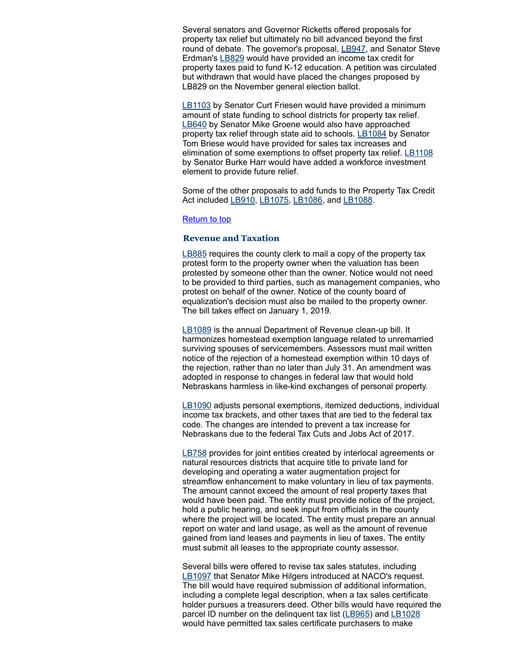Several senators and Governor Ricketts offered proposals for property tax relief but ultimately no bill advanced beyond the first round of debate. The governor's proposal, [LB947](https://nebraskalegislature.gov/bills/view_bill.php?DocumentID=34496), and Senator Steve Erdman's [LB829](https://nebraskalegislature.gov/bills/view_bill.php?DocumentID=34299) would have provided an income tax credit for property taxes paid to fund K-12 education. A petition was circulated but withdrawn that would have placed the changes proposed by LB829 on the November general election ballot.

[LB1103](https://nebraskalegislature.gov/bills/view_bill.php?DocumentID=34451) by Senator Curt Friesen would have provided a minimum amount of state funding to school districts for property tax relief. [LB640](https://nebraskalegislature.gov/bills/view_bill.php?DocumentID=31527) by Senator Mike Groene would also have approached property tax relief through state aid to schools. [LB1084](https://nebraskalegislature.gov/bills/view_bill.php?DocumentID=34434) by Senator Tom Briese would have provided for sales tax increases and elimination of some exemptions to offset property tax relief. [LB1108](https://nebraskalegislature.gov/bills/view_bill.php?DocumentID=34691) by Senator Burke Harr would have added a workforce investment element to provide future relief.

Some of the other proposals to add funds to the Property Tax Credit Act included [LB910,](https://nebraskalegislature.gov/bills/view_bill.php?DocumentID=34228) [LB1075,](https://nebraskalegislature.gov/bills/view_bill.php?DocumentID=34733) [LB1086,](https://nebraskalegislature.gov/bills/view_bill.php?DocumentID=34525) and [LB1088](https://nebraskalegislature.gov/bills/view_bill.php?DocumentID=34033).

#### [Return](#page-0-1) to top

# <span id="page-2-0"></span>**Revenue and Taxation**

[LB885](https://nebraskalegislature.gov/bills/view_bill.php?DocumentID=34019) requires the county clerk to mail a copy of the property tax protest form to the property owner when the valuation has been protested by someone other than the owner. Notice would not need to be provided to third parties, such as management companies, who protest on behalf of the owner. Notice of the county board of equalization's decision must also be mailed to the property owner. The bill takes effect on January 1, 2019.

[LB1089](https://nebraskalegislature.gov/bills/view_bill.php?DocumentID=34134) is the annual Department of Revenue clean-up bill. It harmonizes homestead exemption language related to unremarried surviving spouses of servicemembers. Assessors must mail written notice of the rejection of a homestead exemption within 10 days of the rejection, rather than no later than July 31. An amendment was adopted in response to changes in federal law that would hold Nebraskans harmless in like-kind exchanges of personal property.

[LB1090](https://nebraskalegislature.gov/bills/view_bill.php?DocumentID=34666) adjusts personal exemptions, itemized deductions, individual income tax brackets, and other taxes that are tied to the federal tax code. The changes are intended to prevent a tax increase for Nebraskans due to the federal Tax Cuts and Jobs Act of 2017.

[LB758](https://nebraskalegislature.gov/bills/view_bill.php?DocumentID=34459) provides for joint entities created by interlocal agreements or natural resources districts that acquire title to private land for developing and operating a water augmentation project for streamflow enhancement to make voluntary in lieu of tax payments. The amount cannot exceed the amount of real property taxes that would have been paid. The entity must provide notice of the project, hold a public hearing, and seek input from officials in the county where the project will be located. The entity must prepare an annual report on water and land usage, as well as the amount of revenue gained from land leases and payments in lieu of taxes. The entity must submit all leases to the appropriate county assessor.

Several bills were offered to revise tax sales statutes, including [LB1097](https://nebraskalegislature.gov/bills/view_bill.php?DocumentID=34208) that Senator Mike Hilgers introduced at NACO's request. The bill would have required submission of additional information, including a complete legal description, when a tax sales certificate holder pursues a treasurers deed. Other bills would have required the parcel ID number on the delinquent tax list ([LB965\)](https://nebraskalegislature.gov/bills/view_bill.php?DocumentID=34211) and [LB1028](https://nebraskalegislature.gov/bills/view_bill.php?DocumentID=34474) would have permitted tax sales certificate purchasers to make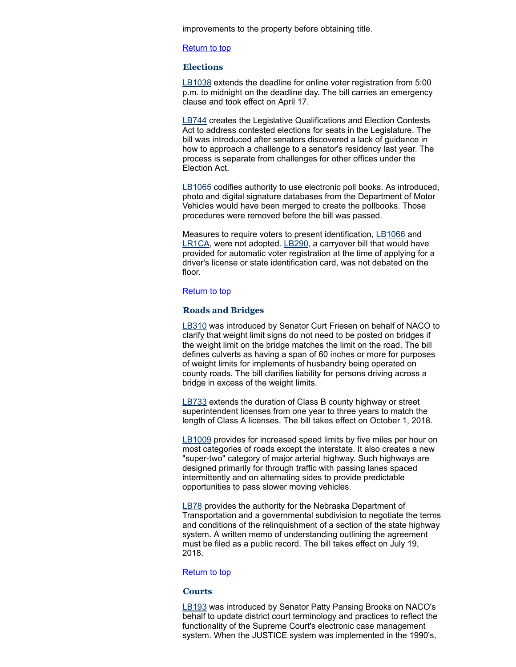improvements to the property before obtaining title.

#### [Return](#page-0-1) to top

# <span id="page-3-0"></span>**Elections**

[LB1038](https://nebraskalegislature.gov/bills/view_bill.php?DocumentID=34306) extends the deadline for online voter registration from 5:00 p.m. to midnight on the deadline day. The bill carries an emergency clause and took effect on April 17.

[LB744](https://nebraskalegislature.gov/bills/view_bill.php?DocumentID=34047) creates the Legislative Qualifications and Election Contests Act to address contested elections for seats in the Legislature. The bill was introduced after senators discovered a lack of guidance in how to approach a challenge to a senator's residency last year. The process is separate from challenges for other offices under the Election Act.

[LB1065](https://nebraskalegislature.gov/bills/view_bill.php?DocumentID=34683) codifies authority to use electronic poll books. As introduced, photo and digital signature databases from the Department of Motor Vehicles would have been merged to create the pollbooks. Those procedures were removed before the bill was passed.

Measures to require voters to present identification, [LB1066](https://nebraskalegislature.gov/bills/view_bill.php?DocumentID=34480) and [LR1CA,](https://nebraskalegislature.gov/bills/view_bill.php?DocumentID=31414) were not adopted. [LB290,](https://nebraskalegislature.gov/bills/view_bill.php?DocumentID=31262) a carryover bill that would have provided for automatic voter registration at the time of applying for a driver's license or state identification card, was not debated on the floor.

# [Return](#page-0-1) to top

# <span id="page-3-1"></span>**Roads and Bridges**

[LB310](https://nebraskalegislature.gov/bills/view_bill.php?DocumentID=30968) was introduced by Senator Curt Friesen on behalf of NACO to clarify that weight limit signs do not need to be posted on bridges if the weight limit on the bridge matches the limit on the road. The bill defines culverts as having a span of 60 inches or more for purposes of weight limits for implements of husbandry being operated on county roads. The bill clarifies liability for persons driving across a bridge in excess of the weight limits.

[LB733](https://nebraskalegislature.gov/bills/view_bill.php?DocumentID=33991) extends the duration of Class B county highway or street superintendent licenses from one year to three years to match the length of Class A licenses. The bill takes effect on October 1, 2018.

[LB1009](https://nebraskalegislature.gov/bills/view_bill.php?DocumentID=33960) provides for increased speed limits by five miles per hour on most categories of roads except the interstate. It also creates a new "super-two" category of major arterial highway. Such highways are designed primarily for through traffic with passing lanes spaced intermittently and on alternating sides to provide predictable opportunities to pass slower moving vehicles.

[LB78](https://nebraskalegislature.gov/bills/view_bill.php?DocumentID=30915) provides the authority for the Nebraska Department of Transportation and a governmental subdivision to negotiate the terms and conditions of the relinquishment of a section of the state highway system. A written memo of understanding outlining the agreement must be filed as a public record. The bill takes effect on July 19, 2018.

#### **[Return](#page-0-1) to top**

#### <span id="page-3-2"></span>**Courts**

[LB193](https://nebraskalegislature.gov/bills/view_bill.php?DocumentID=30791) was introduced by Senator Patty Pansing Brooks on NACO's behalf to update district court terminology and practices to reflect the functionality of the Supreme Court's electronic case management system. When the JUSTICE system was implemented in the 1990's,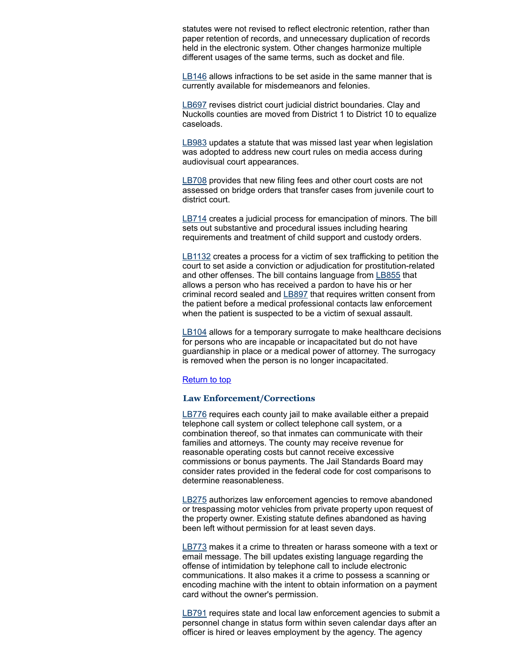statutes were not revised to reflect electronic retention, rather than paper retention of records, and unnecessary duplication of records held in the electronic system. Other changes harmonize multiple different usages of the same terms, such as docket and file.

[LB146](https://nebraskalegislature.gov/bills/view_bill.php?DocumentID=31342) allows infractions to be set aside in the same manner that is currently available for misdemeanors and felonies.

[LB697](https://nebraskalegislature.gov/bills/view_bill.php?DocumentID=34270) revises district court judicial district boundaries. Clay and Nuckolls counties are moved from District 1 to District 10 to equalize caseloads.

[LB983](https://nebraskalegislature.gov/bills/view_bill.php?DocumentID=34615) updates a statute that was missed last year when legislation was adopted to address new court rules on media access during audiovisual court appearances.

[LB708](https://nebraskalegislature.gov/bills/view_bill.php?DocumentID=34254) provides that new filing fees and other court costs are not assessed on bridge orders that transfer cases from juvenile court to district court.

[LB714](https://nebraskalegislature.gov/bills/view_bill.php?DocumentID=34196) creates a judicial process for emancipation of minors. The bill sets out substantive and procedural issues including hearing requirements and treatment of child support and custody orders.

[LB1132](https://nebraskalegislature.gov/bills/view_bill.php?DocumentID=34753) creates a process for a victim of sex trafficking to petition the court to set aside a conviction or adjudication for prostitution-related and other offenses. The bill contains language from **[LB855](https://nebraskalegislature.gov/bills/view_bill.php?DocumentID=34068)** that allows a person who has received a pardon to have his or her criminal record sealed and [LB897](https://nebraskalegislature.gov/bills/view_bill.php?DocumentID=34164) that requires written consent from the patient before a medical professional contacts law enforcement when the patient is suspected to be a victim of sexual assault.

[LB104](https://nebraskalegislature.gov/bills/view_bill.php?DocumentID=30878) allows for a temporary surrogate to make healthcare decisions for persons who are incapable or incapacitated but do not have guardianship in place or a medical power of attorney. The surrogacy is removed when the person is no longer incapacitated.

#### [Return](#page-0-1) to top

# <span id="page-4-0"></span>**Law Enforcement/Corrections**

[LB776](https://nebraskalegislature.gov/bills/view_bill.php?DocumentID=34129) requires each county jail to make available either a prepaid telephone call system or collect telephone call system, or a combination thereof, so that inmates can communicate with their families and attorneys. The county may receive revenue for reasonable operating costs but cannot receive excessive commissions or bonus payments. The Jail Standards Board may consider rates provided in the federal code for cost comparisons to determine reasonableness.

[LB275](https://nebraskalegislature.gov/bills/view_bill.php?DocumentID=31429) authorizes law enforcement agencies to remove abandoned or trespassing motor vehicles from private property upon request of the property owner. Existing statute defines abandoned as having been left without permission for at least seven days.

[LB773](https://nebraskalegislature.gov/bills/view_bill.php?DocumentID=34381) makes it a crime to threaten or harass someone with a text or email message. The bill updates existing language regarding the offense of intimidation by telephone call to include electronic communications. It also makes it a crime to possess a scanning or encoding machine with the intent to obtain information on a payment card without the owner's permission.

[LB791](https://nebraskalegislature.gov/bills/view_bill.php?DocumentID=34366) requires state and local law enforcement agencies to submit a personnel change in status form within seven calendar days after an officer is hired or leaves employment by the agency. The agency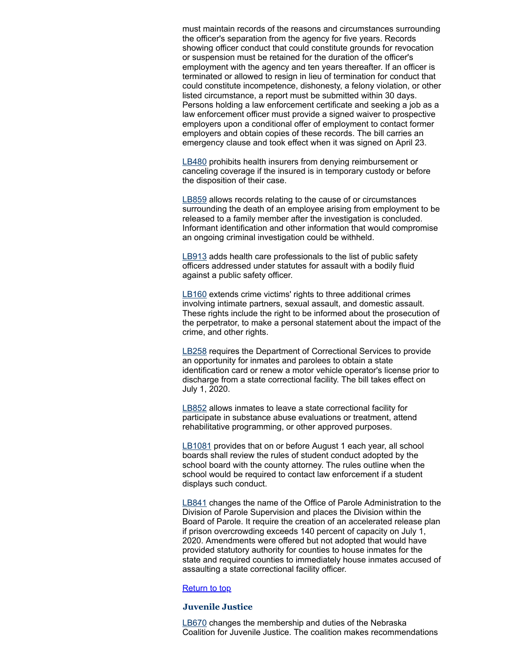must maintain records of the reasons and circumstances surrounding the officer's separation from the agency for five years. Records showing officer conduct that could constitute grounds for revocation or suspension must be retained for the duration of the officer's employment with the agency and ten years thereafter. If an officer is terminated or allowed to resign in lieu of termination for conduct that could constitute incompetence, dishonesty, a felony violation, or other listed circumstance, a report must be submitted within 30 days. Persons holding a law enforcement certificate and seeking a job as a law enforcement officer must provide a signed waiver to prospective employers upon a conditional offer of employment to contact former employers and obtain copies of these records. The bill carries an emergency clause and took effect when it was signed on April 23.

[LB480](https://nebraskalegislature.gov/bills/view_bill.php?DocumentID=31405) prohibits health insurers from denying reimbursement or canceling coverage if the insured is in temporary custody or before the disposition of their case.

[LB859](https://nebraskalegislature.gov/bills/view_bill.php?DocumentID=34096) allows records relating to the cause of or circumstances surrounding the death of an employee arising from employment to be released to a family member after the investigation is concluded. Informant identification and other information that would compromise an ongoing criminal investigation could be withheld.

[LB913](https://nebraskalegislature.gov/bills/view_bill.php?DocumentID=34462) adds health care professionals to the list of public safety officers addressed under statutes for assault with a bodily fluid against a public safety officer.

[LB160](https://nebraskalegislature.gov/bills/view_bill.php?DocumentID=31237) extends crime victims' rights to three additional crimes involving intimate partners, sexual assault, and domestic assault. These rights include the right to be informed about the prosecution of the perpetrator, to make a personal statement about the impact of the crime, and other rights.

[LB258](https://nebraskalegislature.gov/bills/view_bill.php?DocumentID=31211) requires the Department of Correctional Services to provide an opportunity for inmates and parolees to obtain a state identification card or renew a motor vehicle operator's license prior to discharge from a state correctional facility. The bill takes effect on July 1, 2020.

[LB852](https://nebraskalegislature.gov/bills/view_bill.php?DocumentID=34350) allows inmates to leave a state correctional facility for participate in substance abuse evaluations or treatment, attend rehabilitative programming, or other approved purposes.

[LB1081](https://nebraskalegislature.gov/bills/view_bill.php?DocumentID=34292) provides that on or before August 1 each year, all school boards shall review the rules of student conduct adopted by the school board with the county attorney. The rules outline when the school would be required to contact law enforcement if a student displays such conduct.

[LB841](https://nebraskalegislature.gov/bills/view_bill.php?DocumentID=34099) changes the name of the Office of Parole Administration to the Division of Parole Supervision and places the Division within the Board of Parole. It require the creation of an accelerated release plan if prison overcrowding exceeds 140 percent of capacity on July 1, 2020. Amendments were offered but not adopted that would have provided statutory authority for counties to house inmates for the state and required counties to immediately house inmates accused of assaulting a state correctional facility officer.

#### **[Return](#page-0-1) to top**

# <span id="page-5-0"></span>**Juvenile Justice**

[LB670](https://nebraskalegislature.gov/bills/view_bill.php?DocumentID=34197) changes the membership and duties of the Nebraska Coalition for Juvenile Justice. The coalition makes recommendations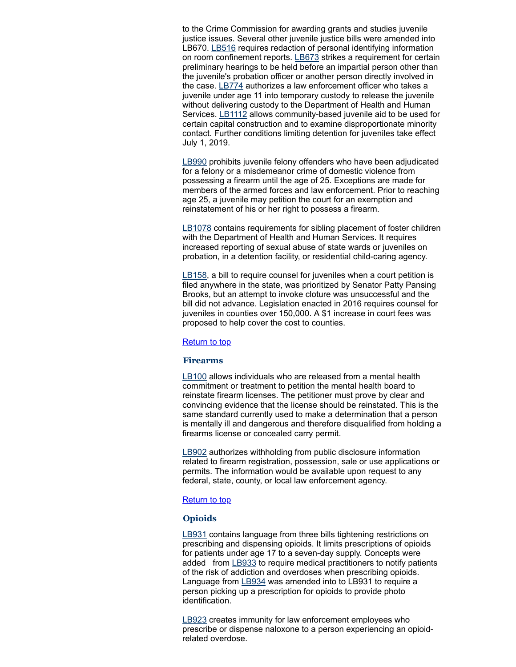to the Crime Commission for awarding grants and studies juvenile justice issues. Several other juvenile justice bills were amended into LB670. [LB516](https://nebraskalegislature.gov/bills/view_bill.php?DocumentID=31683) requires redaction of personal identifying information on room confinement reports. [LB673](https://nebraskalegislature.gov/bills/view_bill.php?DocumentID=34255) strikes a requirement for certain preliminary hearings to be held before an impartial person other than the juvenile's probation officer or another person directly involved in the case. [LB774](https://nebraskalegislature.gov/bills/view_bill.php?DocumentID=34360) authorizes a law enforcement officer who takes a juvenile under age 11 into temporary custody to release the juvenile without delivering custody to the Department of Health and Human Services. [LB1112](https://nebraskalegislature.gov/bills/view_bill.php?DocumentID=34648) allows community-based juvenile aid to be used for certain capital construction and to examine disproportionate minority contact. Further conditions limiting detention for juveniles take effect July 1, 2019.

[LB990](https://nebraskalegislature.gov/bills/view_bill.php?DocumentID=34458) prohibits juvenile felony offenders who have been adjudicated for a felony or a misdemeanor crime of domestic violence from possessing a firearm until the age of 25. Exceptions are made for members of the armed forces and law enforcement. Prior to reaching age 25, a juvenile may petition the court for an exemption and reinstatement of his or her right to possess a firearm.

[LB1078](https://nebraskalegislature.gov/bills/view_bill.php?DocumentID=34778) contains requirements for sibling placement of foster children with the Department of Health and Human Services. It requires increased reporting of sexual abuse of state wards or juveniles on probation, in a detention facility, or residential child-caring agency.

[LB158,](https://nebraskalegislature.gov/bills/view_bill.php?DocumentID=31309) a bill to require counsel for juveniles when a court petition is filed anywhere in the state, was prioritized by Senator Patty Pansing Brooks, but an attempt to invoke cloture was unsuccessful and the bill did not advance. Legislation enacted in 2016 requires counsel for juveniles in counties over 150,000. A \$1 increase in court fees was proposed to help cover the cost to counties.

# [Return](#page-0-1) to top

# <span id="page-6-0"></span>**Firearms**

[LB100](https://nebraskalegislature.gov/bills/view_bill.php?DocumentID=30672) allows individuals who are released from a mental health commitment or treatment to petition the mental health board to reinstate firearm licenses. The petitioner must prove by clear and convincing evidence that the license should be reinstated. This is the same standard currently used to make a determination that a person is mentally ill and dangerous and therefore disqualified from holding a firearms license or concealed carry permit.

[LB902](https://nebraskalegislature.gov/bills/view_bill.php?DocumentID=34506) authorizes withholding from public disclosure information related to firearm registration, possession, sale or use applications or permits. The information would be available upon request to any federal, state, county, or local law enforcement agency.

# [Return](#page-0-1) to top

# <span id="page-6-1"></span>**Opioids**

[LB931](https://nebraskalegislature.gov/bills/view_bill.php?DocumentID=34043) contains language from three bills tightening restrictions on prescribing and dispensing opioids. It limits prescriptions of opioids for patients under age 17 to a seven-day supply. Concepts were added from [LB933](https://nebraskalegislature.gov/bills/view_bill.php?DocumentID=34073) to require medical practitioners to notify patients of the risk of addiction and overdoses when prescribing opioids. Language from [LB934](https://nebraskalegislature.gov/bills/view_bill.php?DocumentID=34091) was amended into to LB931 to require a person picking up a prescription for opioids to provide photo identification.

[LB923](https://nebraskalegislature.gov/bills/view_bill.php?DocumentID=34471) creates immunity for law enforcement employees who prescribe or dispense naloxone to a person experiencing an opioidrelated overdose.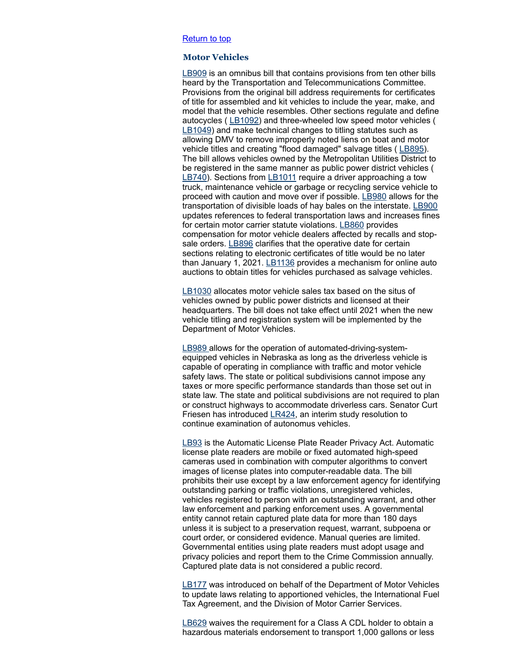#### [Return](#page-0-1) to top

## <span id="page-7-0"></span>**Motor Vehicles**

[LB909](https://nebraskalegislature.gov/bills/view_bill.php?DocumentID=34449) is an omnibus bill that contains provisions from ten other bills heard by the Transportation and Telecommunications Committee. Provisions from the original bill address requirements for certificates of title for assembled and kit vehicles to include the year, make, and model that the vehicle resembles. Other sections regulate and define autocycles ( [LB1092](https://nebraskalegislature.gov/bills/view_bill.php?DocumentID=34779)) and three-wheeled low speed motor vehicles ( [LB1049\)](https://nebraskalegislature.gov/bills/view_bill.php?DocumentID=34461) and make technical changes to titling statutes such as allowing DMV to remove improperly noted liens on boat and motor vehicle titles and creating "flood damaged" salvage titles ([LB895](https://nebraskalegislature.gov/bills/view_bill.php?DocumentID=33966)). The bill allows vehicles owned by the Metropolitan Utilities District to be registered in the same manner as public power district vehicles ( [LB740\)](https://nebraskalegislature.gov/bills/view_bill.php?DocumentID=33949). Sections from [LB1011](https://nebraskalegislature.gov/bills/view_bill.php?DocumentID=34594) require a driver approaching a tow truck, maintenance vehicle or garbage or recycling service vehicle to proceed with caution and move over if possible. [LB980](https://nebraskalegislature.gov/bills/view_bill.php?DocumentID=34430) allows for the transportation of divisible loads of hay bales on the interstate. [LB900](https://nebraskalegislature.gov/bills/view_bill.php?DocumentID=34149) updates references to federal transportation laws and increases fines for certain motor carrier statute violations. [LB860](https://nebraskalegislature.gov/bills/view_bill.php?DocumentID=34029) provides compensation for motor vehicle dealers affected by recalls and stop-sale orders. [LB896](https://nebraskalegislature.gov/bills/view_bill.php?DocumentID=34137) clarifies that the operative date for certain sections relating to electronic certificates of title would be no later than January 1, 2021.  $\underline{\text{L}B1136}$  provides a mechanism for online auto auctions to obtain titles for vehicles purchased as salvage vehicles.

[LB1030](https://nebraskalegislature.gov/bills/view_bill.php?DocumentID=34427) allocates motor vehicle sales tax based on the situs of vehicles owned by public power districts and licensed at their headquarters. The bill does not take effect until 2021 when the new vehicle titling and registration system will be implemented by the Department of Motor Vehicles.

[LB989](https://nebraskalegislature.gov/bills/view_bill.php?DocumentID=34326) allows for the operation of automated-driving-systemequipped vehicles in Nebraska as long as the driverless vehicle is capable of operating in compliance with traffic and motor vehicle safety laws. The state or political subdivisions cannot impose any taxes or more specific performance standards than those set out in state law. The state and political subdivisions are not required to plan or construct highways to accommodate driverless cars. Senator Curt Friesen has introduced [LR424,](https://nebraskalegislature.gov/bills/view_bill.php?DocumentID=36274) an interim study resolution to continue examination of autonomus vehicles.

[LB93](https://nebraskalegislature.gov/bills/view_bill.php?DocumentID=31038) is the Automatic License Plate Reader Privacy Act. Automatic license plate readers are mobile or fixed automated high-speed cameras used in combination with computer algorithms to convert images of license plates into computer-readable data. The bill prohibits their use except by a law enforcement agency for identifying outstanding parking or traffic violations, unregistered vehicles, vehicles registered to person with an outstanding warrant, and other law enforcement and parking enforcement uses. A governmental entity cannot retain captured plate data for more than 180 days unless it is subject to a preservation request, warrant, subpoena or court order, or considered evidence. Manual queries are limited. Governmental entities using plate readers must adopt usage and privacy policies and report them to the Crime Commission annually. Captured plate data is not considered a public record.

[LB177](https://nebraskalegislature.gov/bills/view_bill.php?DocumentID=30901) was introduced on behalf of the Department of Motor Vehicles to update laws relating to apportioned vehicles, the International Fuel Tax Agreement, and the Division of Motor Carrier Services.

[LB629](https://nebraskalegislature.gov/bills/view_bill.php?DocumentID=31226) waives the requirement for a Class A CDL holder to obtain a hazardous materials endorsement to transport 1,000 gallons or less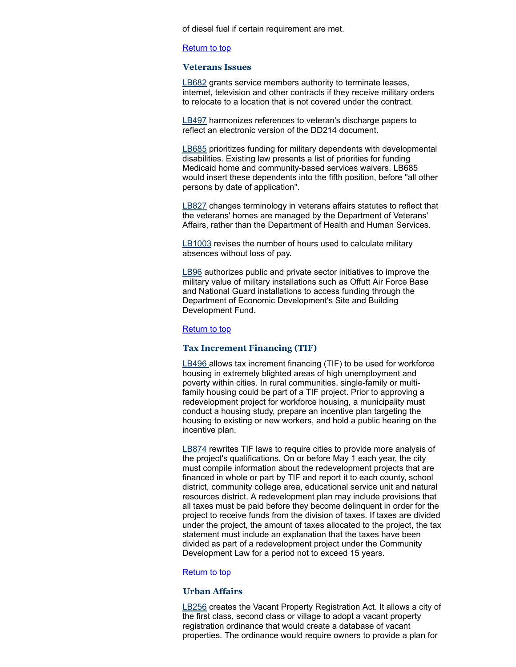of diesel fuel if certain requirement are met.

#### [Return](#page-0-1) to top

#### <span id="page-8-0"></span>**Veterans Issues**

[LB682](https://nebraskalegislature.gov/bills/view_bill.php?DocumentID=33879) grants service members authority to terminate leases, internet, television and other contracts if they receive military orders to relocate to a location that is not covered under the contract.

[LB497](https://nebraskalegislature.gov/bills/view_bill.php?DocumentID=31053) harmonizes references to veteran's discharge papers to reflect an electronic version of the DD214 document.

[LB685](https://nebraskalegislature.gov/bills/view_bill.php?DocumentID=33883) prioritizes funding for military dependents with developmental disabilities. Existing law presents a list of priorities for funding Medicaid home and community-based services waivers. LB685 would insert these dependents into the fifth position, before "all other persons by date of application".

[LB827](https://nebraskalegislature.gov/bills/view_bill.php?DocumentID=34181) changes terminology in veterans affairs statutes to reflect that the veterans' homes are managed by the Department of Veterans' Affairs, rather than the Department of Health and Human Services.

[LB1003](https://nebraskalegislature.gov/bills/view_bill.php?DocumentID=34686) revises the number of hours used to calculate military absences without loss of pay.

[LB96](https://nebraskalegislature.gov/bills/view_bill.php?DocumentID=30761) authorizes public and private sector initiatives to improve the military value of military installations such as Offutt Air Force Base and National Guard installations to access funding through the Department of Economic Development's Site and Building Development Fund.

# **[Return](#page-0-1) to top**

# <span id="page-8-1"></span>**Tax Increment Financing (TIF)**

[LB496](https://nebraskalegislature.gov/bills/view_bill.php?DocumentID=31530) allows tax increment financing (TIF) to be used for workforce housing in extremely blighted areas of high unemployment and poverty within cities. In rural communities, single-family or multifamily housing could be part of a TIF project. Prior to approving a redevelopment project for workforce housing, a municipality must conduct a housing study, prepare an incentive plan targeting the housing to existing or new workers, and hold a public hearing on the incentive plan.

[LB874](https://nebraskalegislature.gov/bills/view_bill.php?DocumentID=34010) rewrites TIF laws to require cities to provide more analysis of the project's qualifications. On or before May 1 each year, the city must compile information about the redevelopment projects that are financed in whole or part by TIF and report it to each county, school district, community college area, educational service unit and natural resources district. A redevelopment plan may include provisions that all taxes must be paid before they become delinquent in order for the project to receive funds from the division of taxes. If taxes are divided under the project, the amount of taxes allocated to the project, the tax statement must include an explanation that the taxes have been divided as part of a redevelopment project under the Community Development Law for a period not to exceed 15 years.

## [Return](#page-0-1) to top

#### <span id="page-8-2"></span>**Urban Affairs**

[LB256](https://nebraskalegislature.gov/bills/view_bill.php?DocumentID=31139) creates the Vacant Property Registration Act. It allows a city of the first class, second class or village to adopt a vacant property registration ordinance that would create a database of vacant properties. The ordinance would require owners to provide a plan for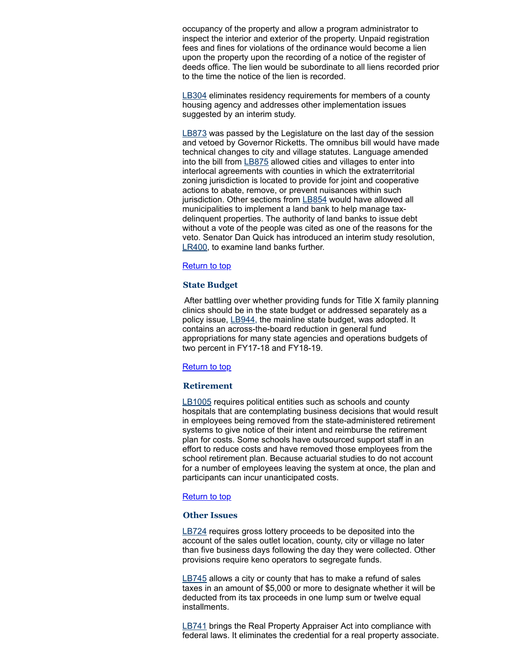occupancy of the property and allow a program administrator to inspect the interior and exterior of the property. Unpaid registration fees and fines for violations of the ordinance would become a lien upon the property upon the recording of a notice of the register of deeds office. The lien would be subordinate to all liens recorded prior to the time the notice of the lien is recorded.

[LB304](https://nebraskalegislature.gov/bills/view_bill.php?DocumentID=30779) eliminates residency requirements for members of a county housing agency and addresses other implementation issues suggested by an interim study.

[LB873](https://nebraskalegislature.gov/bills/view_bill.php?DocumentID=33944) was passed by the Legislature on the last day of the session and vetoed by Governor Ricketts. The omnibus bill would have made technical changes to city and village statutes. Language amended into the bill from [LB875](https://nebraskalegislature.gov/bills/view_bill.php?DocumentID=34237) allowed cities and villages to enter into interlocal agreements with counties in which the extraterritorial zoning jurisdiction is located to provide for joint and cooperative actions to abate, remove, or prevent nuisances within such jurisdiction. Other sections from [LB854](https://nebraskalegislature.gov/bills/view_bill.php?DocumentID=34329) would have allowed all municipalities to implement a land bank to help manage taxdelinquent properties. The authority of land banks to issue debt without a vote of the people was cited as one of the reasons for the veto. Senator Dan Quick has introduced an interim study resolution, [LR400,](https://nebraskalegislature.gov/bills/view_bill.php?DocumentID=36308) to examine land banks further.

# [Return](#page-0-1) to top

# <span id="page-9-0"></span>**State Budget**

After battling over whether providing funds for Title X family planning clinics should be in the state budget or addressed separately as a policy issue, [LB944,](https://nebraskalegislature.gov/bills/view_bill.php?DocumentID=34302) the mainline state budget, was adopted. It contains an across-the-board reduction in general fund appropriations for many state agencies and operations budgets of two percent in FY17-18 and FY18-19.

# [Return](#page-0-1) to top

# <span id="page-9-1"></span>**Retirement**

[LB1005](https://nebraskalegislature.gov/bills/view_bill.php?DocumentID=34379) requires political entities such as schools and county hospitals that are contemplating business decisions that would result in employees being removed from the state-administered retirement systems to give notice of their intent and reimburse the retirement plan for costs. Some schools have outsourced support staff in an effort to reduce costs and have removed those employees from the school retirement plan. Because actuarial studies to do not account for a number of employees leaving the system at once, the plan and participants can incur unanticipated costs.

### [Return](#page-0-1) to top

#### <span id="page-9-2"></span>**Other Issues**

[LB724](https://nebraskalegislature.gov/bills/view_bill.php?DocumentID=34037) requires gross lottery proceeds to be deposited into the account of the sales outlet location, county, city or village no later than five business days following the day they were collected. Other provisions require keno operators to segregate funds.

[LB745](https://nebraskalegislature.gov/bills/view_bill.php?DocumentID=34256) allows a city or county that has to make a refund of sales taxes in an amount of \$5,000 or more to designate whether it will be deducted from its tax proceeds in one lump sum or twelve equal installments.

[LB741](https://nebraskalegislature.gov/bills/view_bill.php?DocumentID=33848) brings the Real Property Appraiser Act into compliance with federal laws. It eliminates the credential for a real property associate.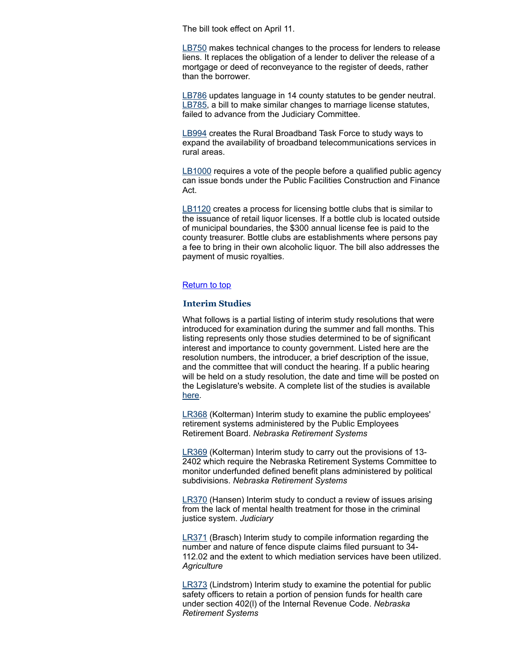The bill took effect on April 11.

[LB750](https://nebraskalegislature.gov/bills/view_bill.php?DocumentID=34286) makes technical changes to the process for lenders to release liens. It replaces the obligation of a lender to deliver the release of a mortgage or deed of reconveyance to the register of deeds, rather than the borrower.

[LB786](https://nebraskalegislature.gov/bills/view_bill.php?DocumentID=34298) updates language in 14 county statutes to be gender neutral. [LB785,](https://nebraskalegislature.gov/bills/view_bill.php?DocumentID=34297) a bill to make similar changes to marriage license statutes, failed to advance from the Judiciary Committee.

[LB994](https://nebraskalegislature.gov/bills/view_bill.php?DocumentID=34425) creates the Rural Broadband Task Force to study ways to expand the availability of broadband telecommunications services in rural areas.

[LB1000](https://nebraskalegislature.gov/bills/view_bill.php?DocumentID=34142) requires a vote of the people before a qualified public agency can issue bonds under the Public Facilities Construction and Finance Act.

[LB1120](https://nebraskalegislature.gov/bills/view_bill.php?DocumentID=34726) creates a process for licensing bottle clubs that is similar to the issuance of retail liquor licenses. If a bottle club is located outside of municipal boundaries, the \$300 annual license fee is paid to the county treasurer. Bottle clubs are establishments where persons pay a fee to bring in their own alcoholic liquor. The bill also addresses the payment of music royalties.

# [Return](#page-0-1) to top

#### <span id="page-10-0"></span>**Interim Studies**

What follows is a partial listing of interim study resolutions that were introduced for examination during the summer and fall months. This listing represents only those studies determined to be of significant interest and importance to county government. Listed here are the resolution numbers, the introducer, a brief description of the issue, and the committee that will conduct the hearing. If a public hearing will be held on a study resolution, the date and time will be posted on the Legislature's website. A complete list of the studies is available [here.](https://nebraskalegislature.gov/pdf/reports/interim/2018_interim_study.pdf)

[LR368](https://nebraskalegislature.gov/bills/view_bill.php?DocumentID=36166) (Kolterman) Interim study to examine the public employees' retirement systems administered by the Public Employees Retirement Board. *Nebraska Retirement Systems*

[LR369](https://nebraskalegislature.gov/bills/view_bill.php?DocumentID=36167) (Kolterman) Interim study to carry out the provisions of 13- 2402 which require the Nebraska Retirement Systems Committee to monitor underfunded defined benefit plans administered by political subdivisions. *Nebraska Retirement Systems*

[LR370](https://nebraskalegislature.gov/bills/view_bill.php?DocumentID=36165) (Hansen) Interim study to conduct a review of issues arising from the lack of mental health treatment for those in the criminal justice system. *Judiciary*

[LR371](https://nebraskalegislature.gov/bills/view_bill.php?DocumentID=36095) (Brasch) Interim study to compile information regarding the number and nature of fence dispute claims filed pursuant to 34- 112.02 and the extent to which mediation services have been utilized. *Agriculture*

[LR373](https://nebraskalegislature.gov/bills/view_bill.php?DocumentID=36075) (Lindstrom) Interim study to examine the potential for public safety officers to retain a portion of pension funds for health care under section 402(l) of the Internal Revenue Code. *Nebraska Retirement Systems*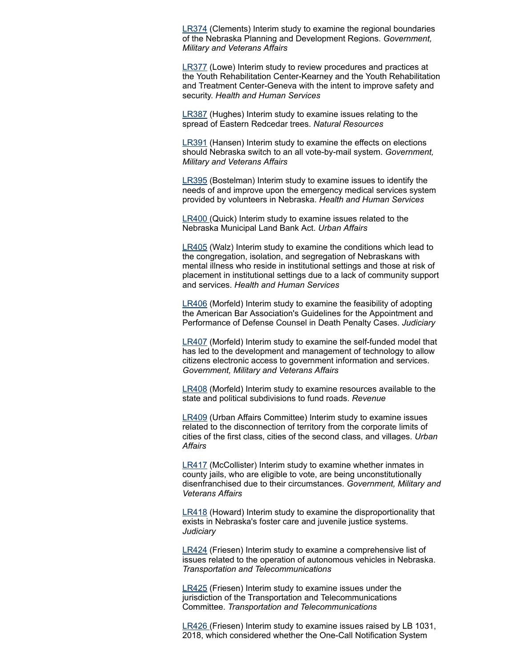[LR374](https://nebraskalegislature.gov/bills/view_bill.php?DocumentID=35775) (Clements) Interim study to examine the regional boundaries of the Nebraska Planning and Development Regions. *Government, Military and Veterans Affairs*

[LR377](https://nebraskalegislature.gov/bills/view_bill.php?DocumentID=36031) (Lowe) Interim study to review procedures and practices at the Youth Rehabilitation Center-Kearney and the Youth Rehabilitation and Treatment Center-Geneva with the intent to improve safety and security. *Health and Human Services*

[LR387](https://nebraskalegislature.gov/bills/view_bill.php?DocumentID=35870) (Hughes) Interim study to examine issues relating to the spread of Eastern Redcedar trees. *Natural Resources*

[LR391](https://nebraskalegislature.gov/bills/view_bill.php?DocumentID=36261) (Hansen) Interim study to examine the effects on elections should Nebraska switch to an all vote-by-mail system. *Government, Military and Veterans Affairs*

[LR395](https://nebraskalegislature.gov/bills/view_bill.php?DocumentID=36265) (Bostelman) Interim study to examine issues to identify the needs of and improve upon the emergency medical services system provided by volunteers in Nebraska. *Health and Human Services*

[LR400](https://nebraskalegislature.gov/bills/view_bill.php?DocumentID=36308) (Quick) Interim study to examine issues related to the Nebraska Municipal Land Bank Act. *Urban Affairs*

[LR405](https://nebraskalegislature.gov/bills/view_bill.php?DocumentID=36338) (Walz) Interim study to examine the conditions which lead to the congregation, isolation, and segregation of Nebraskans with mental illness who reside in institutional settings and those at risk of placement in institutional settings due to a lack of community support and services. *Health and Human Services*

[LR406](https://nebraskalegislature.gov/bills/view_bill.php?DocumentID=36168) (Morfeld) Interim study to examine the feasibility of adopting the American Bar Association's Guidelines for the Appointment and Performance of Defense Counsel in Death Penalty Cases. *Judiciary*

[LR407](https://nebraskalegislature.gov/bills/view_bill.php?DocumentID=36340) (Morfeld) Interim study to examine the self-funded model that has led to the development and management of technology to allow citizens electronic access to government information and services. *Government, Military and Veterans Affairs*

[LR408](https://nebraskalegislature.gov/bills/view_bill.php?DocumentID=36309) (Morfeld) Interim study to examine resources available to the state and political subdivisions to fund roads. *Revenue*

[LR409](https://nebraskalegislature.gov/bills/view_bill.php?DocumentID=36253) (Urban Affairs Committee) Interim study to examine issues related to the disconnection of territory from the corporate limits of cities of the first class, cities of the second class, and villages. *Urban Affairs*

[LR417](https://nebraskalegislature.gov/bills/view_bill.php?DocumentID=36262) (McCollister) Interim study to examine whether inmates in county jails, who are eligible to vote, are being unconstitutionally disenfranchised due to their circumstances. *Government, Military and Veterans Affairs*

[LR418](https://nebraskalegislature.gov/bills/view_bill.php?DocumentID=36320) (Howard) Interim study to examine the disproportionality that exists in Nebraska's foster care and juvenile justice systems. *Judiciary*

[LR424](https://nebraskalegislature.gov/bills/view_bill.php?DocumentID=36274) (Friesen) Interim study to examine a comprehensive list of issues related to the operation of autonomous vehicles in Nebraska. *Transportation and Telecommunications*

[LR425](https://nebraskalegislature.gov/bills/view_bill.php?DocumentID=36275) (Friesen) Interim study to examine issues under the jurisdiction of the Transportation and Telecommunications Committee. *Transportation and Telecommunications*

[LR426](https://nebraskalegislature.gov/bills/view_bill.php?DocumentID=36276) (Friesen) Interim study to examine issues raised by LB 1031, 2018, which considered whether the One-Call Notification System